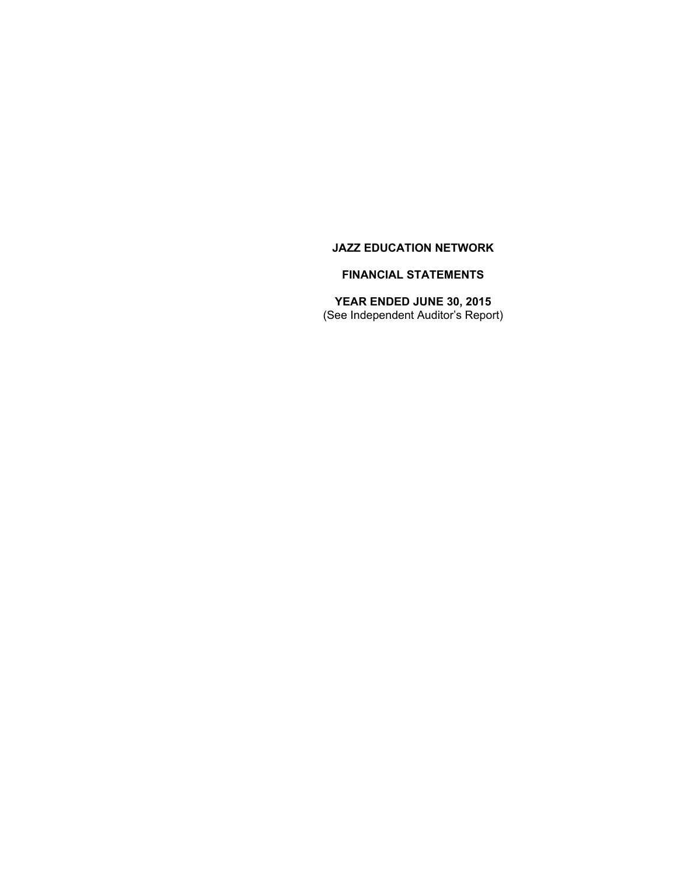## **JAZZ EDUCATION NETWORK**

# **FINANCIAL STATEMENTS**

 **YEAR ENDED JUNE 30, 2015**  (See Independent Auditor's Report)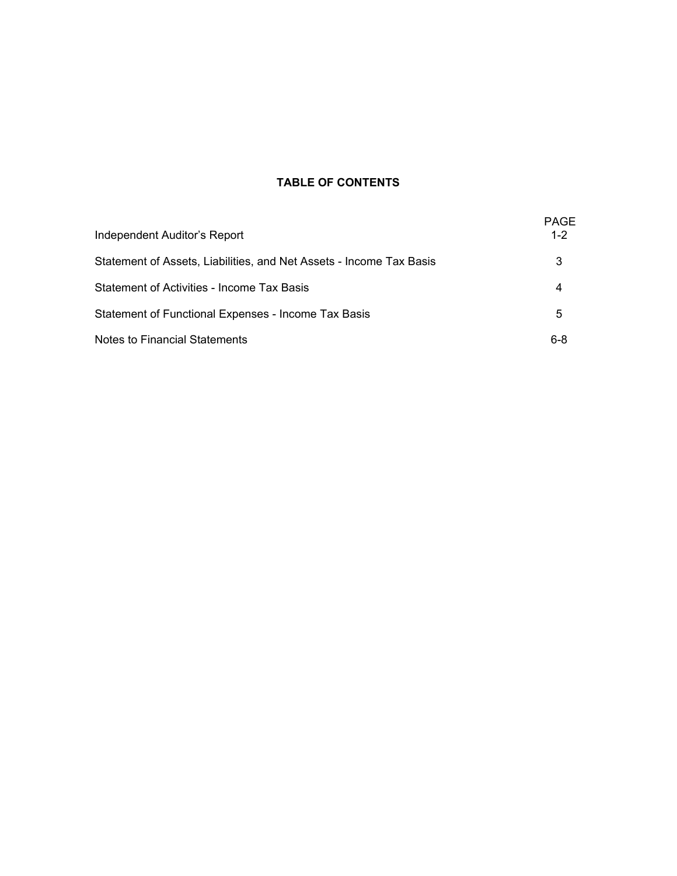# **TABLE OF CONTENTS**

| Independent Auditor's Report                                        | <b>PAGE</b><br>$1 - 2$ |
|---------------------------------------------------------------------|------------------------|
| Statement of Assets, Liabilities, and Net Assets - Income Tax Basis | 3                      |
| Statement of Activities - Income Tax Basis                          | 4                      |
| Statement of Functional Expenses - Income Tax Basis                 | 5                      |
| Notes to Financial Statements                                       | $6 - 8$                |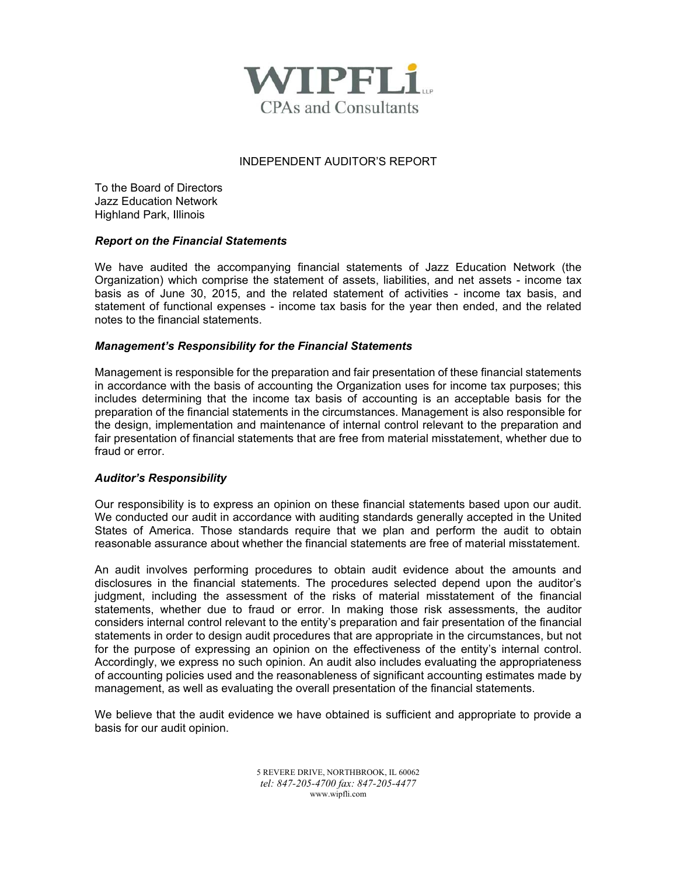

## INDEPENDENT AUDITOR'S REPORT

To the Board of Directors Jazz Education Network Highland Park, Illinois

#### *Report on the Financial Statements*

We have audited the accompanying financial statements of Jazz Education Network (the Organization) which comprise the statement of assets, liabilities, and net assets - income tax basis as of June 30, 2015, and the related statement of activities - income tax basis, and statement of functional expenses - income tax basis for the year then ended, and the related notes to the financial statements.

### *Management's Responsibility for the Financial Statements*

Management is responsible for the preparation and fair presentation of these financial statements in accordance with the basis of accounting the Organization uses for income tax purposes; this includes determining that the income tax basis of accounting is an acceptable basis for the preparation of the financial statements in the circumstances. Management is also responsible for the design, implementation and maintenance of internal control relevant to the preparation and fair presentation of financial statements that are free from material misstatement, whether due to fraud or error.

#### *Auditor's Responsibility*

Our responsibility is to express an opinion on these financial statements based upon our audit. We conducted our audit in accordance with auditing standards generally accepted in the United States of America. Those standards require that we plan and perform the audit to obtain reasonable assurance about whether the financial statements are free of material misstatement.

An audit involves performing procedures to obtain audit evidence about the amounts and disclosures in the financial statements. The procedures selected depend upon the auditor's judgment, including the assessment of the risks of material misstatement of the financial statements, whether due to fraud or error. In making those risk assessments, the auditor considers internal control relevant to the entity's preparation and fair presentation of the financial statements in order to design audit procedures that are appropriate in the circumstances, but not for the purpose of expressing an opinion on the effectiveness of the entity's internal control. Accordingly, we express no such opinion. An audit also includes evaluating the appropriateness of accounting policies used and the reasonableness of significant accounting estimates made by management, as well as evaluating the overall presentation of the financial statements.

We believe that the audit evidence we have obtained is sufficient and appropriate to provide a basis for our audit opinion.

> 5 REVERE DRIVE, NORTHBROOK, IL 60062 *tel: 847-205-4700 fax: 847-205-4477*  www.wipfli.com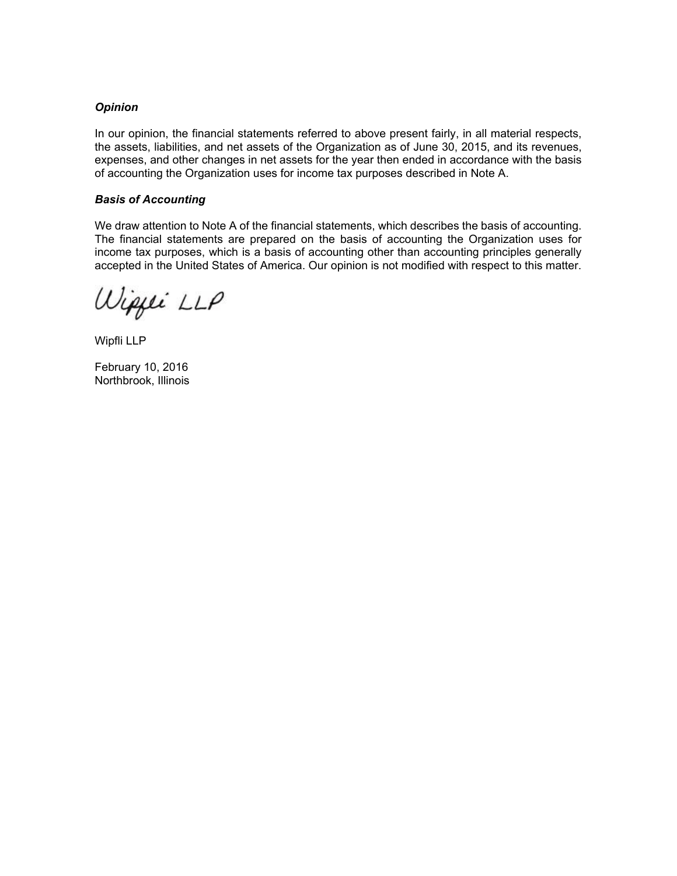## *Opinion*

In our opinion, the financial statements referred to above present fairly, in all material respects, the assets, liabilities, and net assets of the Organization as of June 30, 2015, and its revenues, expenses, and other changes in net assets for the year then ended in accordance with the basis of accounting the Organization uses for income tax purposes described in Note A.

## *Basis of Accounting*

We draw attention to Note A of the financial statements, which describes the basis of accounting. The financial statements are prepared on the basis of accounting the Organization uses for income tax purposes, which is a basis of accounting other than accounting principles generally accepted in the United States of America. Our opinion is not modified with respect to this matter.

Wippei LLP

Wipfli LLP

February 10, 2016 Northbrook, Illinois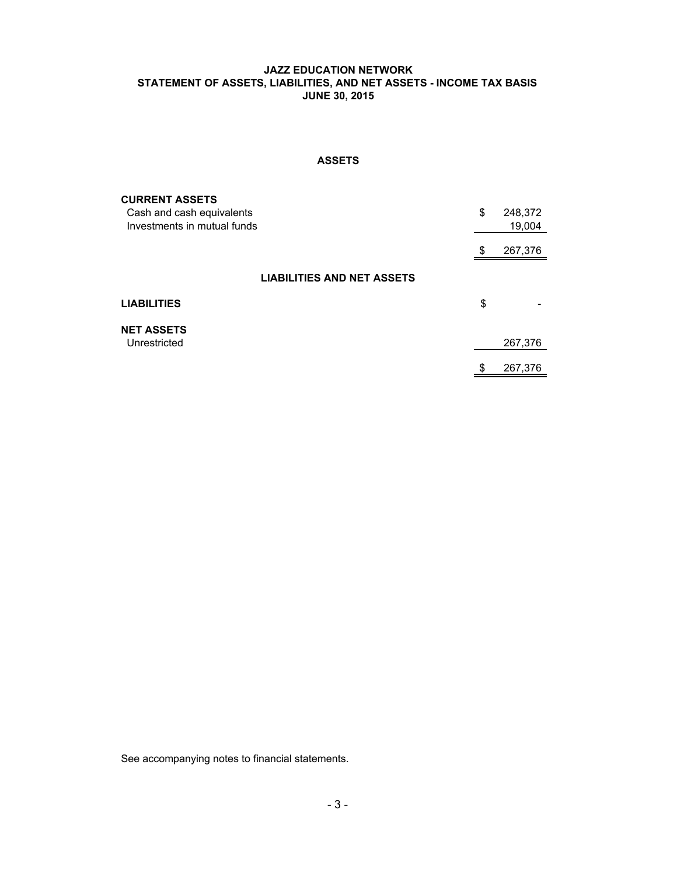### **JAZZ EDUCATION NETWORK STATEMENT OF ASSETS, LIABILITIES, AND NET ASSETS - INCOME TAX BASIS JUNE 30, 2015**

### **ASSETS**

| <b>CURRENT ASSETS</b><br>Cash and cash equivalents<br>Investments in mutual funds | \$ | 248,372<br>19,004 |
|-----------------------------------------------------------------------------------|----|-------------------|
|                                                                                   | S  | 267,376           |
| <b>LIABILITIES AND NET ASSETS</b>                                                 |    |                   |
| <b>LIABILITIES</b>                                                                | \$ |                   |
| <b>NET ASSETS</b><br>Unrestricted                                                 |    | 267,376           |
|                                                                                   | \$ | 267,376           |

See accompanying notes to financial statements.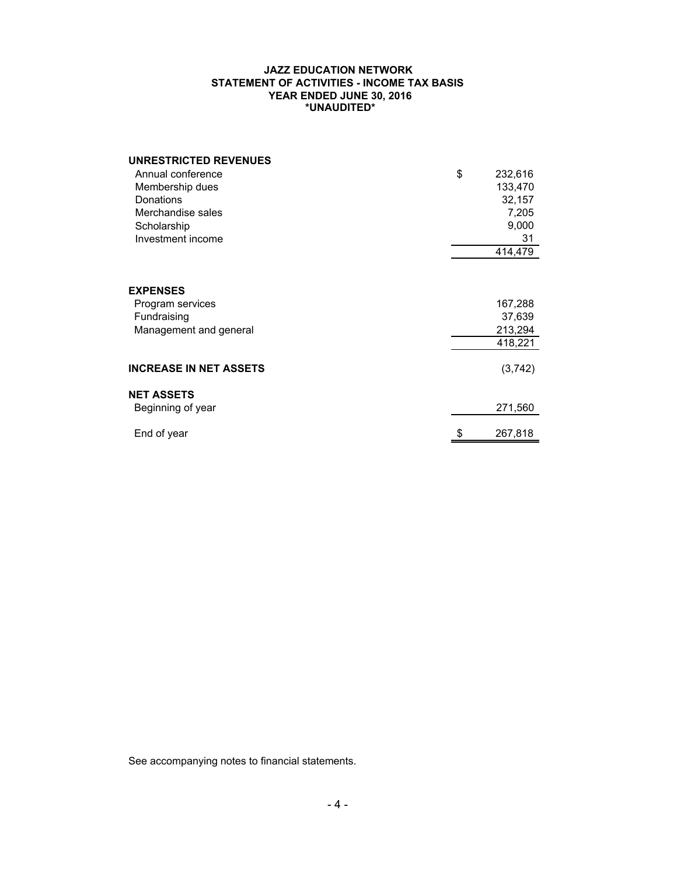#### **YEAR ENDED JUNE 30, 2016 \*UNAUDITED\* STATEMENT OF ACTIVITIES - INCOME TAX BASIS JAZZ EDUCATION NETWORK**

| UNRESTRICTED REVENUES         |               |
|-------------------------------|---------------|
| Annual conference             | \$<br>232,616 |
| Membership dues               | 133,470       |
| Donations                     | 32,157        |
| Merchandise sales             | 7,205         |
| Scholarship                   | 9,000         |
| Investment income             | 31            |
|                               | 414,479       |
|                               |               |
| <b>EXPENSES</b>               |               |
| Program services              | 167,288       |
| Fundraising                   | 37,639        |
| Management and general        | 213,294       |
|                               | 418,221       |
| <b>INCREASE IN NET ASSETS</b> | (3, 742)      |
| <b>NET ASSETS</b>             |               |
| Beginning of year             | 271,560       |
| End of year                   | \$<br>267,818 |

See accompanying notes to financial statements.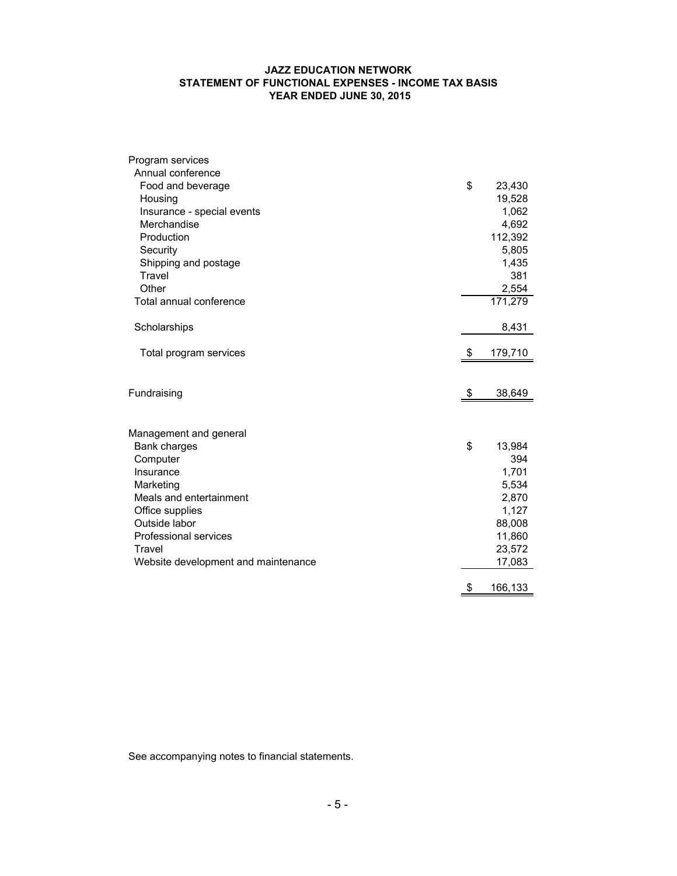### **JAZZ EDUCATION NETWORK STATEMENT OF FUNCTIONAL EXPENSES - INCOME TAX BASIS YEAR ENDED JUNE 30, 2015**

| Program services                                                |    |                        |
|-----------------------------------------------------------------|----|------------------------|
| Annual conference                                               |    |                        |
| Food and beverage                                               | \$ | 23,430                 |
| Housing                                                         |    | 19,528                 |
| Insurance - special events                                      |    | 1,062                  |
| Merchandise                                                     |    | 4,692                  |
| Production                                                      |    | 112,392                |
| Security                                                        |    | 5,805                  |
| Shipping and postage                                            |    | 1,435                  |
| Travel                                                          |    | 381                    |
| Other                                                           |    | 2,554                  |
| Total annual conference                                         |    | 171,279                |
| Scholarships                                                    |    | 8,431                  |
| Total program services                                          | \$ | 179,710                |
| Fundraising                                                     | æ. | 38,649                 |
| Management and general<br>Bank charges<br>Computer<br>Insurance | \$ | 13,984<br>394<br>1,701 |
| Marketing                                                       |    | 5,534                  |
| Meals and entertainment                                         |    | 2,870                  |
| Office supplies                                                 |    | 1,127                  |
| Outside labor                                                   |    | 88,008                 |
| Professional services                                           |    | 11,860                 |
| Travel                                                          |    | 23,572                 |
| Website development and maintenance                             |    | 17,083                 |
|                                                                 | \$ | 166,133                |

See accompanying notes to financial statements.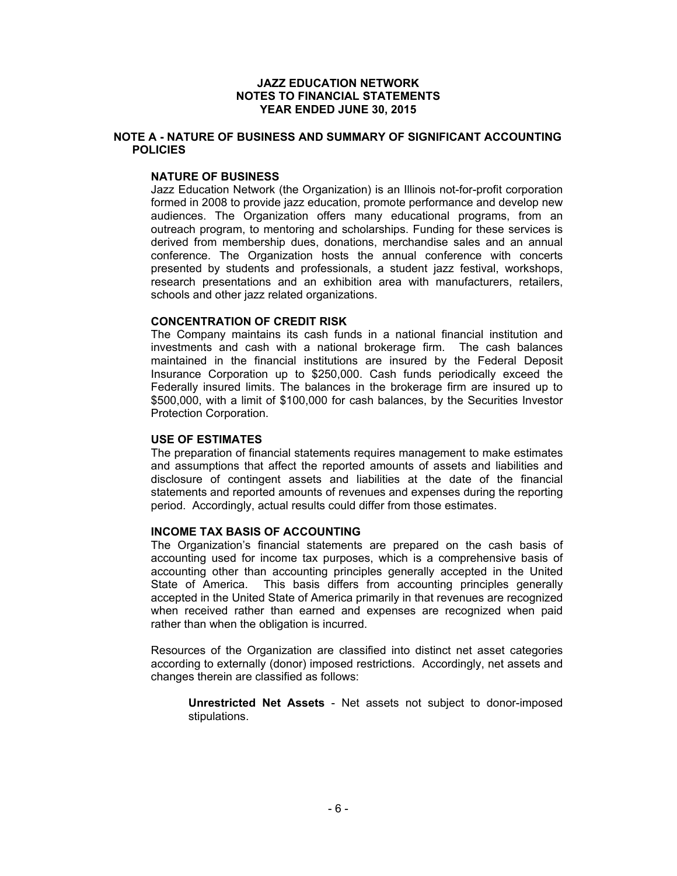### **JAZZ EDUCATION NETWORK NOTES TO FINANCIAL STATEMENTS YEAR ENDED JUNE 30, 2015**

#### **NOTE A - NATURE OF BUSINESS AND SUMMARY OF SIGNIFICANT ACCOUNTING POLICIES**

### **NATURE OF BUSINESS**

Jazz Education Network (the Organization) is an Illinois not-for-profit corporation formed in 2008 to provide jazz education, promote performance and develop new audiences. The Organization offers many educational programs, from an outreach program, to mentoring and scholarships. Funding for these services is derived from membership dues, donations, merchandise sales and an annual conference. The Organization hosts the annual conference with concerts presented by students and professionals, a student jazz festival, workshops, research presentations and an exhibition area with manufacturers, retailers, schools and other jazz related organizations.

### **CONCENTRATION OF CREDIT RISK**

 The Company maintains its cash funds in a national financial institution and investments and cash with a national brokerage firm. The cash balances maintained in the financial institutions are insured by the Federal Deposit Insurance Corporation up to \$250,000. Cash funds periodically exceed the Federally insured limits. The balances in the brokerage firm are insured up to \$500,000, with a limit of \$100,000 for cash balances, by the Securities Investor Protection Corporation.

### **USE OF ESTIMATES**

 The preparation of financial statements requires management to make estimates and assumptions that affect the reported amounts of assets and liabilities and disclosure of contingent assets and liabilities at the date of the financial statements and reported amounts of revenues and expenses during the reporting period. Accordingly, actual results could differ from those estimates.

## **INCOME TAX BASIS OF ACCOUNTING**

 The Organization's financial statements are prepared on the cash basis of accounting used for income tax purposes, which is a comprehensive basis of accounting other than accounting principles generally accepted in the United State of America. This basis differs from accounting principles generally accepted in the United State of America primarily in that revenues are recognized when received rather than earned and expenses are recognized when paid rather than when the obligation is incurred.

Resources of the Organization are classified into distinct net asset categories according to externally (donor) imposed restrictions. Accordingly, net assets and changes therein are classified as follows:

**Unrestricted Net Assets** - Net assets not subject to donor-imposed stipulations.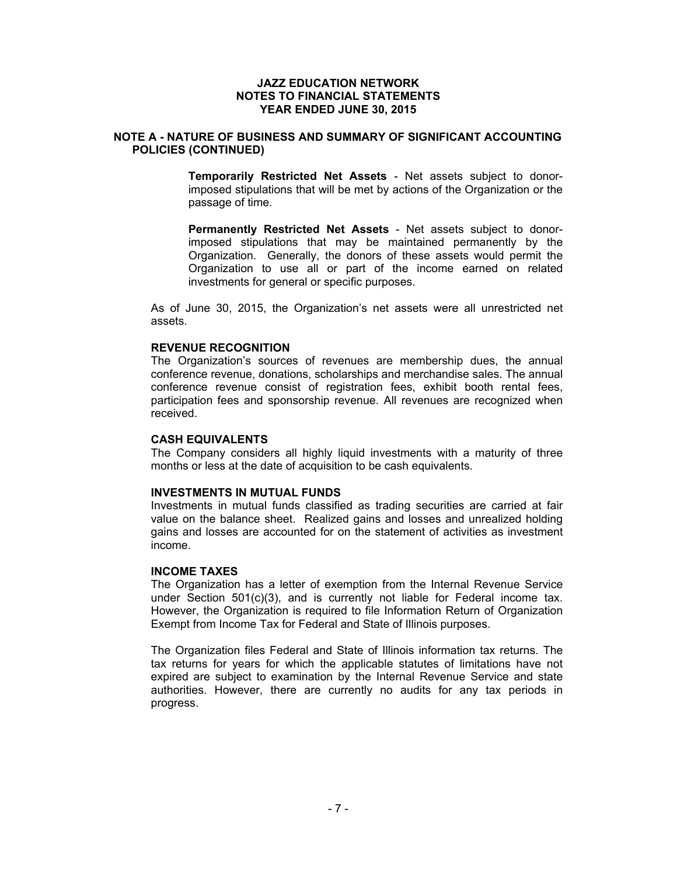### **JAZZ EDUCATION NETWORK NOTES TO FINANCIAL STATEMENTS YEAR ENDED JUNE 30, 2015**

### **NOTE A - NATURE OF BUSINESS AND SUMMARY OF SIGNIFICANT ACCOUNTING POLICIES (CONTINUED)**

**Temporarily Restricted Net Assets** - Net assets subject to donorimposed stipulations that will be met by actions of the Organization or the passage of time.

**Permanently Restricted Net Assets** - Net assets subject to donorimposed stipulations that may be maintained permanently by the Organization. Generally, the donors of these assets would permit the Organization to use all or part of the income earned on related investments for general or specific purposes.

 As of June 30, 2015, the Organization's net assets were all unrestricted net assets.

### **REVENUE RECOGNITION**

 The Organization's sources of revenues are membership dues, the annual conference revenue, donations, scholarships and merchandise sales. The annual conference revenue consist of registration fees, exhibit booth rental fees, participation fees and sponsorship revenue. All revenues are recognized when received.

#### **CASH EQUIVALENTS**

 The Company considers all highly liquid investments with a maturity of three months or less at the date of acquisition to be cash equivalents.

#### **INVESTMENTS IN MUTUAL FUNDS**

 Investments in mutual funds classified as trading securities are carried at fair value on the balance sheet. Realized gains and losses and unrealized holding gains and losses are accounted for on the statement of activities as investment income.

#### **INCOME TAXES**

 The Organization has a letter of exemption from the Internal Revenue Service under Section 501(c)(3), and is currently not liable for Federal income tax. However, the Organization is required to file Information Return of Organization Exempt from Income Tax for Federal and State of Illinois purposes.

The Organization files Federal and State of Illinois information tax returns. The tax returns for years for which the applicable statutes of limitations have not expired are subject to examination by the Internal Revenue Service and state authorities. However, there are currently no audits for any tax periods in progress.